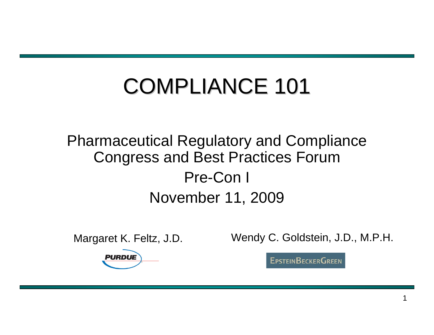# COMPLIANCE 101

#### Pharmaceutical Regulatory and Compliance Congress and Best Practices Forum Pre-Con I November 11, 2009

Margaret K. Feltz, J.D. Wendy C. Goldstein, J.D., M.P.H.

**EPSTEINBECKERGREEN** 

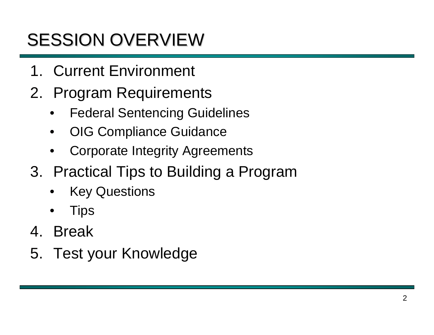## SESSION OVERVIEW

- 1. Current Environment
- 2. Program Requirements
	- **Federal Sentencing Guidelines**
	- OIG Compliance Guidance
	- Corporate Integrity Agreements
- 3. Practical Tips to Building a Program
	- **Key Questions**
	- **Tips**
- 4. Break
- 5. Test your Knowledge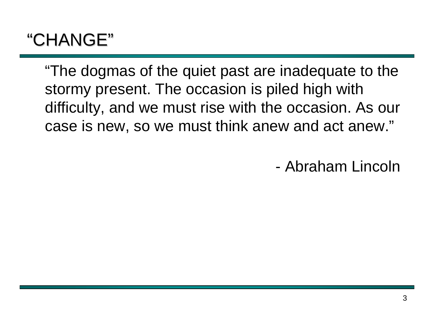### "CHANGE"

"The dogmas of the quiet past are inadequate to the stormy present. The occasion is piled high with difficulty, and we must rise with the occasion. As our case is new, so we must think anew and act anew."

- Abraham Lincoln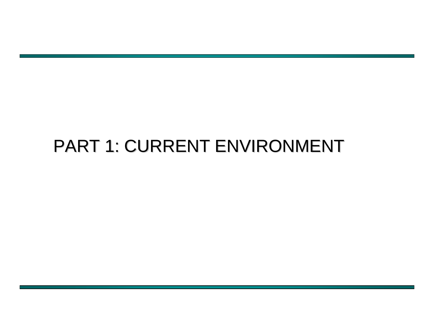### PART 1: CURRENT ENVIRONMENT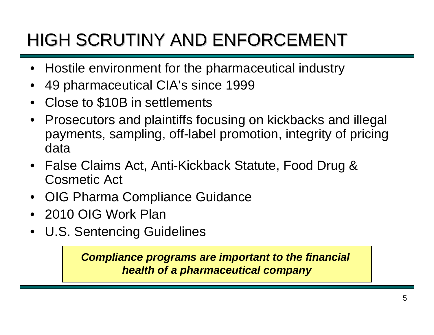## HIGH SCRUTINY AND ENFORCEMENT

- Hostile environment for the pharmaceutical industry
- 49 pharmaceutical CIA's since 1999
- Close to \$10B in settlements
- Prosecutors and plaintiffs focusing on kickbacks and illegal payments, sampling, off-label promotion, integrity of pricing data
- False Claims Act, Anti-Kickback Statute, Food Drug & Cosmetic Act
- OIG Pharma Compliance Guidance
- 2010 OIG Work Plan
- U.S. Sentencing Guidelines

*Compliance programs are important to the financial health of a pharmaceutical company*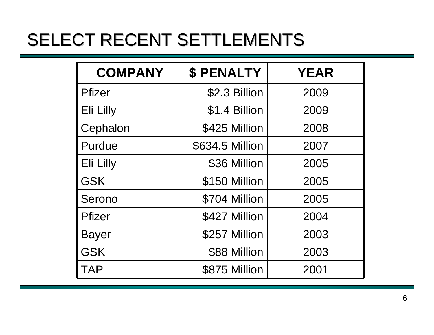### SELECT RECENT SETTLEMENTS

| <b>COMPANY</b> | <b>\$ PENALTY</b> | <b>YEAR</b> |
|----------------|-------------------|-------------|
| <b>Pfizer</b>  | \$2.3 Billion     | 2009        |
| Eli Lilly      | \$1.4 Billion     | 2009        |
| Cephalon       | \$425 Million     | 2008        |
| Purdue         | \$634.5 Million   | 2007        |
| Eli Lilly      | \$36 Million      | 2005        |
| <b>GSK</b>     | \$150 Million     | 2005        |
| Serono         | \$704 Million     | 2005        |
| <b>Pfizer</b>  | \$427 Million     | 2004        |
| <b>Bayer</b>   | \$257 Million     | 2003        |
| <b>GSK</b>     | \$88 Million      | 2003        |
| <b>TAP</b>     | \$875 Million     | 2001        |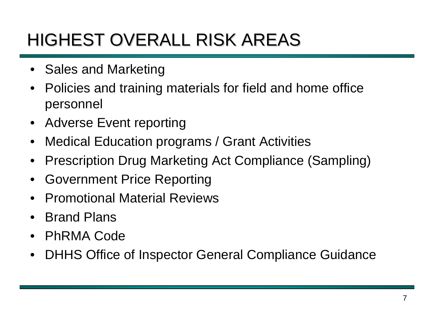### HIGHEST OVERALL RISK AREAS

- Sales and Marketing
- Policies and training materials for field and home office personnel
- Adverse Event reporting
- Medical Education programs / Grant Activities
- Prescription Drug Marketing Act Compliance (Sampling)
- Government Price Reporting
- Promotional Material Reviews
- Brand Plans
- PhRMA Code
- DHHS Office of Inspector General Compliance Guidance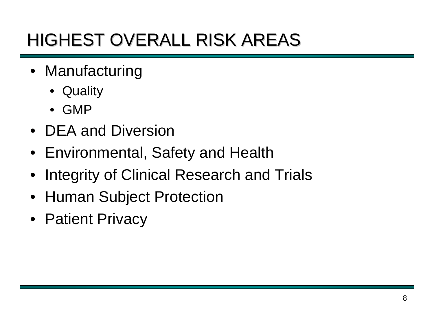### HIGHEST OVERALL RISK AREAS

- Manufacturing
	- Quality
	- GMP
- DEA and Diversion
- Environmental, Safety and Health
- Integrity of Clinical Research and Trials
- Human Subject Protection
- Patient Privacy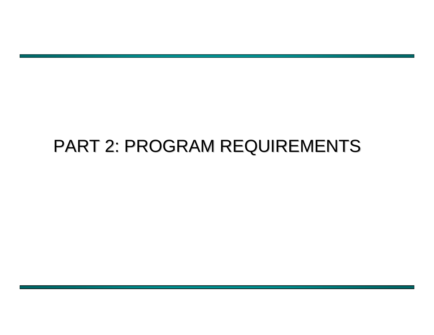### PART 2: PROGRAM REQUIREMENTS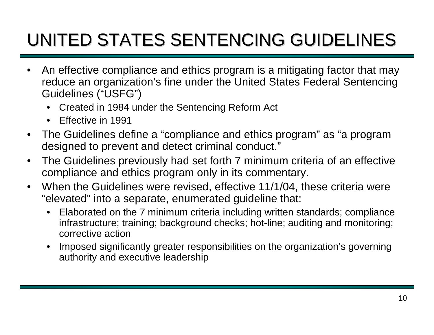## UNITED STATES SENTENCING GUIDELINES

- An effective compliance and ethics program is a mitigating factor that may reduce an organization's fine under the United States Federal Sentencing Guidelines ("USFG")
	- Created in 1984 under the Sentencing Reform Act
	- Effective in 1991
- The Guidelines define a "compliance and ethics program" as "a program designed to prevent and detect criminal conduct."
- The Guidelines previously had set forth 7 minimum criteria of an effective compliance and ethics program only in its commentary.
- When the Guidelines were revised, effective 11/1/04, these criteria were "elevated" into a separate, enumerated guideline that:
	- Elaborated on the 7 minimum criteria including written standards; compliance infrastructure; training; background checks; hot-line; auditing and monitoring; corrective action
	- Imposed significantly greater responsibilities on the organization's governing authority and executive leadership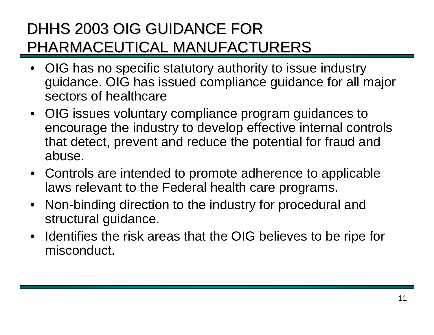- OIG has no specific statutory authority to issue industry guidance. OIG has issued compliance guidance for all major sectors of healthcare
- OIG issues voluntary compliance program guidances to encourage the industry to develop effective internal controls that detect, prevent and reduce the potential for fraud and abuse.
- Controls are intended to promote adherence to applicable laws relevant to the Federal health care programs.
- Non-binding direction to the industry for procedural and structural guidance.
- Identifies the risk areas that the OIG believes to be ripe for misconduct.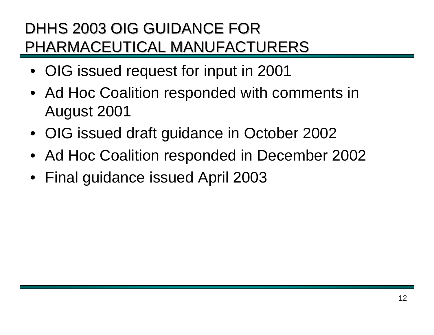- OIG issued request for input in 2001
- Ad Hoc Coalition responded with comments in August 2001
- OIG issued draft guidance in October 2002
- Ad Hoc Coalition responded in December 2002
- Final guidance issued April 2003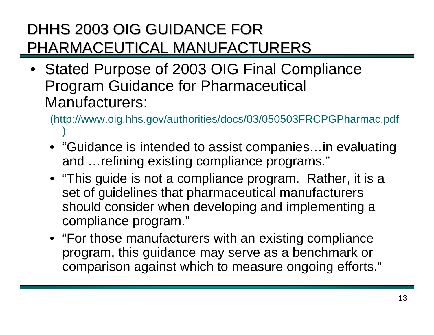• Stated Purpose of 2003 OIG Final Compliance Program Guidance for Pharmaceutical Manufacturers:

(http://www.oig.hhs.gov/authorities/docs/03/050503FRCPGPharmac.pdf )

- "Guidance is intended to assist companies…in evaluating and …refining existing compliance programs."
- "This guide is not a compliance program. Rather, it is a set of guidelines that pharmaceutical manufacturers should consider when developing and implementing a compliance program."
- "For those manufacturers with an existing compliance program, this guidance may serve as a benchmark or comparison against which to measure ongoing efforts."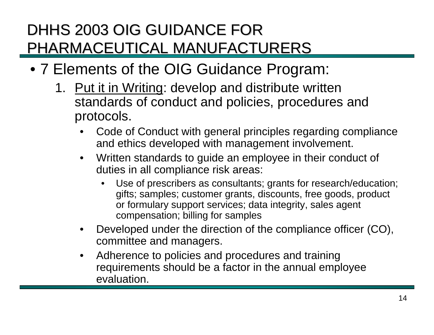- 7 Elements of the OIG Guidance Program:
	- 1. Put it in Writing: develop and distribute written standards of conduct and policies, procedures and protocols.
		- Code of Conduct with general principles regarding compliance and ethics developed with management involvement.
		- Written standards to guide an employee in their conduct of duties in all compliance risk areas:
			- Use of prescribers as consultants; grants for research/education; gifts; samples; customer grants, discounts, free goods, product or formulary support services; data integrity, sales agent compensation; billing for samples
		- Developed under the direction of the compliance officer (CO), committee and managers.
		- Adherence to policies and procedures and training requirements should be a factor in the annual employee evaluation.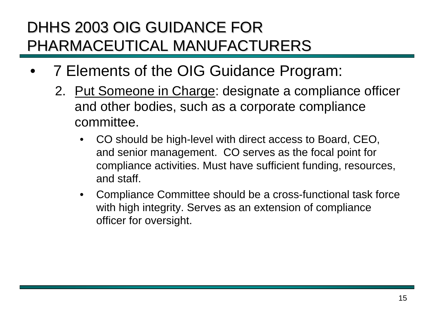- 7 Elements of the OIG Guidance Program:
	- 2. Put Someone in Charge: designate a compliance officer and other bodies, such as a corporate compliance committee.
		- CO should be high-level with direct access to Board, CEO, and senior management. CO serves as the focal point for compliance activities. Must have sufficient funding, resources, and staff.
		- Compliance Committee should be a cross-functional task force with high integrity. Serves as an extension of compliance officer for oversight.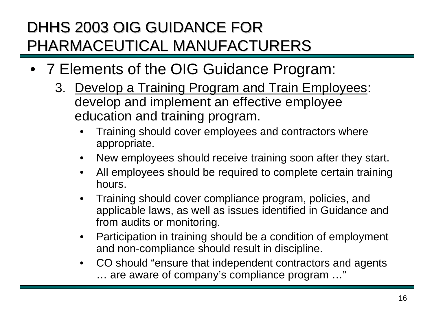- 7 Elements of the OIG Guidance Program:
	- 3. Develop a Training Program and Train Employees: develop and implement an effective employee education and training program.
		- Training should cover employees and contractors where appropriate.
		- New employees should receive training soon after they start.
		- All employees should be required to complete certain training hours.
		- Training should cover compliance program, policies, and applicable laws, as well as issues identified in Guidance and from audits or monitoring.
		- Participation in training should be a condition of employment and non-compliance should result in discipline.
		- CO should "ensure that independent contractors and agents … are aware of company's compliance program …"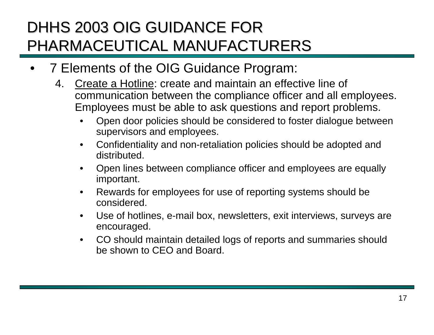- 7 Elements of the OIG Guidance Program:
	- 4. Create a Hotline: create and maintain an effective line of communication between the compliance officer and all employees. Employees must be able to ask questions and report problems.
		- Open door policies should be considered to foster dialogue between supervisors and employees.
		- Confidentiality and non-retaliation policies should be adopted and distributed.
		- Open lines between compliance officer and employees are equally important.
		- Rewards for employees for use of reporting systems should be considered.
		- Use of hotlines, e-mail box, newsletters, exit interviews, surveys are encouraged.
		- CO should maintain detailed logs of reports and summaries should be shown to CEO and Board.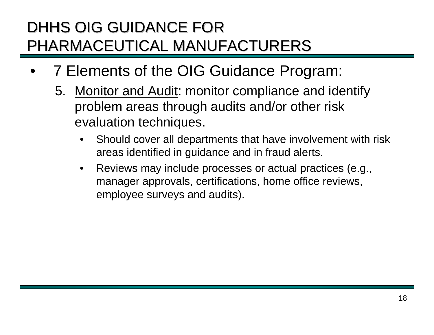- 7 Elements of the OIG Guidance Program:
	- 5. Monitor and Audit: monitor compliance and identify problem areas through audits and/or other risk evaluation techniques.
		- Should cover all departments that have involvement with risk areas identified in guidance and in fraud alerts.
		- Reviews may include processes or actual practices (e.g., manager approvals, certifications, home office reviews, employee surveys and audits).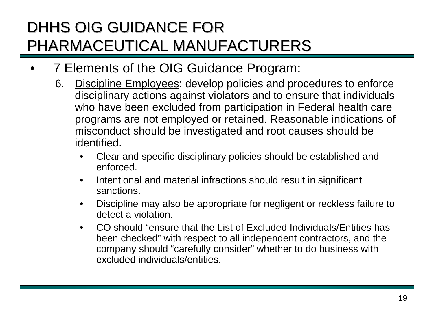- 7 Elements of the OIG Guidance Program:
	- 6. Discipline Employees: develop policies and procedures to enforce disciplinary actions against violators and to ensure that individuals who have been excluded from participation in Federal health care programs are not employed or retained. Reasonable indications of misconduct should be investigated and root causes should be identified.
		- Clear and specific disciplinary policies should be established and enforced.
		- Intentional and material infractions should result in significant sanctions.
		- Discipline may also be appropriate for negligent or reckless failure to detect a violation.
		- CO should "ensure that the List of Excluded Individuals/Entities has been checked" with respect to all independent contractors, and the company should "carefully consider" whether to do business with excluded individuals/entities.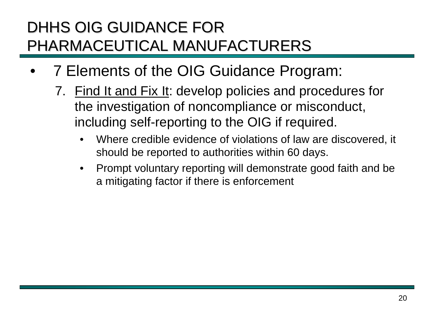- 7 Elements of the OIG Guidance Program:
	- 7. Find It and Fix It: develop policies and procedures for the investigation of noncompliance or misconduct, including self-reporting to the OIG if required.
		- Where credible evidence of violations of law are discovered, it should be reported to authorities within 60 days.
		- Prompt voluntary reporting will demonstrate good faith and be a mitigating factor if there is enforcement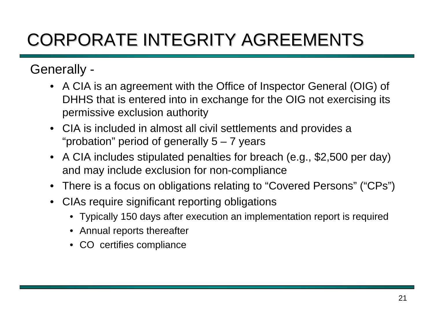## CORPORATE INTEGRITY AGREEMENTS CORPORATE INTEGRITY AGREEMENTS

#### Generally -

- A CIA is an agreement with the Office of Inspector General (OIG) of DHHS that is entered into in exchange for the OIG not exercising its permissive exclusion authority
- CIA is included in almost all civil settlements and provides a "probation" period of generally  $5 - 7$  years
- A CIA includes stipulated penalties for breach (e.g., \$2,500 per day) and may include exclusion for non-compliance
- There is a focus on obligations relating to "Covered Persons" ("CPs")
- CIAs require significant reporting obligations
	- Typically 150 days after execution an implementation report is required
	- Annual reports thereafter
	- CO certifies compliance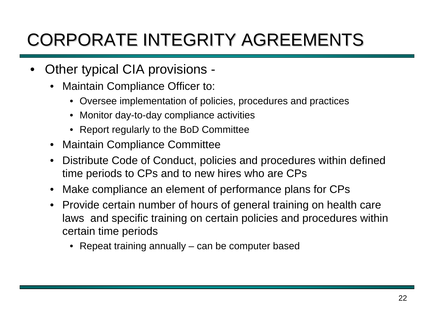## CORPORATE INTEGRITY AGREEMENTS CORPORATE INTEGRITY AGREEMENTS

- Other typical CIA provisions
	- Maintain Compliance Officer to:
		- Oversee implementation of policies, procedures and practices
		- Monitor day-to-day compliance activities
		- Report regularly to the BoD Committee
	- Maintain Compliance Committee
	- Distribute Code of Conduct, policies and procedures within defined time periods to CPs and to new hires who are CPs
	- Make compliance an element of performance plans for CPs
	- Provide certain number of hours of general training on health care laws and specific training on certain policies and procedures within certain time periods
		- Repeat training annually can be computer based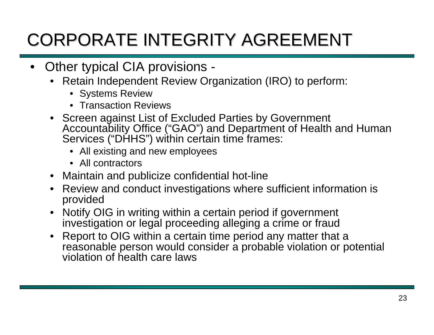## CORPORATE INTEGRITY AGREEMENT

- Other typical CIA provisions
	- Retain Independent Review Organization (IRO) to perform:
		- Systems Review
		- Transaction Reviews
	- Screen against List of Excluded Parties by Government Accountability Office ("GAO") and Department of Health and Human Services ("DHHS") within certain time frames:
		- All existing and new employees
		- All contractors
	- Maintain and publicize confidential hot-line
	- Review and conduct investigations where sufficient information is provided
	- Notify OIG in writing within a certain period if government investigation or legal proceeding alleging a crime or fraud
	- Report to OIG within a certain time period any matter that a reasonable person would consider a probable violation or potential violation of health care laws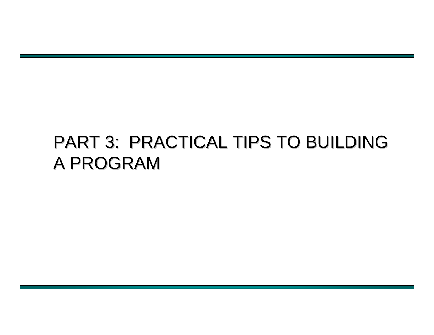### PART 3: PRACTICAL TIPS TO BUILDING A PROGRAM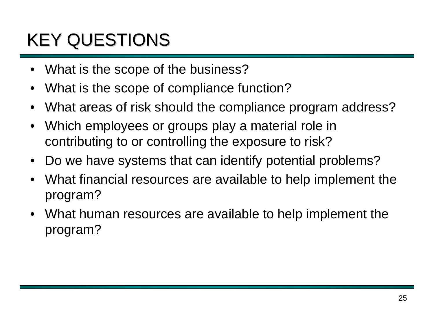## **KEY QUESTIONS**

- What is the scope of the business?
- What is the scope of compliance function?
- What areas of risk should the compliance program address?
- Which employees or groups play a material role in contributing to or controlling the exposure to risk?
- Do we have systems that can identify potential problems?
- What financial resources are available to help implement the program?
- What human resources are available to help implement the program?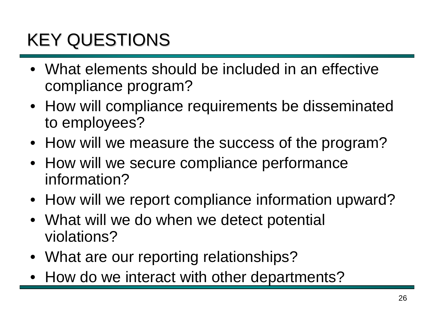## **KEY QUESTIONS**

- What elements should be included in an effective compliance program?
- How will compliance requirements be disseminated to employees?
- How will we measure the success of the program?
- How will we secure compliance performance information?
- How will we report compliance information upward?
- What will we do when we detect potential violations?
- What are our reporting relationships?
- How do we interact with other departments?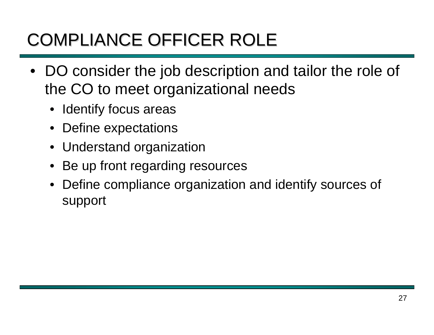## COMPLIANCE OFFICER ROLE

- DO consider the job description and tailor the role of the CO to meet organizational needs
	- Identify focus areas
	- Define expectations
	- Understand organization
	- Be up front regarding resources
	- Define compliance organization and identify sources of support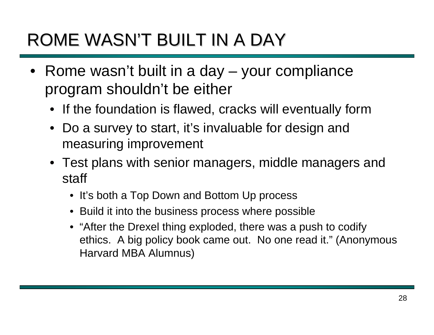### ROME WASN'T BUILT IN A DAY

- Rome wasn't built in a day your compliance program shouldn't be either
	- If the foundation is flawed, cracks will eventually form
	- Do a survey to start, it's invaluable for design and measuring improvement
	- Test plans with senior managers, middle managers and staff
		- It's both a Top Down and Bottom Up process
		- Build it into the business process where possible
		- "After the Drexel thing exploded, there was a push to codify ethics. A big policy book came out. No one read it." (Anonymous Harvard MBA Alumnus)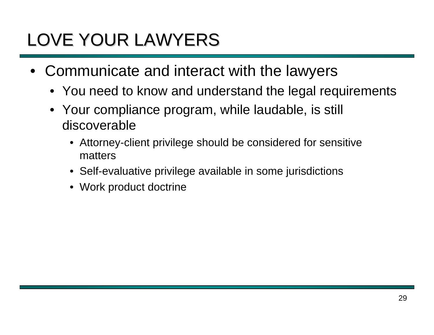## LOVE YOUR LAWYERS

- Communicate and interact with the lawyers
	- You need to know and understand the legal requirements
	- Your compliance program, while laudable, is still discoverable
		- Attorney-client privilege should be considered for sensitive matters
		- Self-evaluative privilege available in some jurisdictions
		- Work product doctrine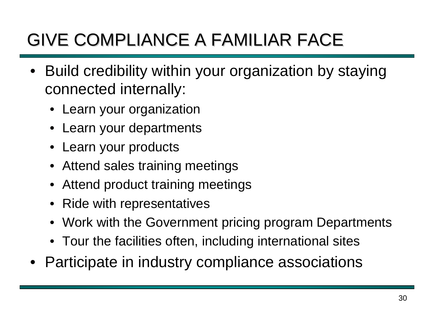## GIVE COMPLIANCE A FAMILIAR FACE GIVE COMPLIANCE A FAMILIAR FACE

- Build credibility within your organization by staying connected internally:
	- Learn your organization
	- Learn your departments
	- Learn your products
	- Attend sales training meetings
	- Attend product training meetings
	- Ride with representatives
	- Work with the Government pricing program Departments
	- Tour the facilities often, including international sites
- Participate in industry compliance associations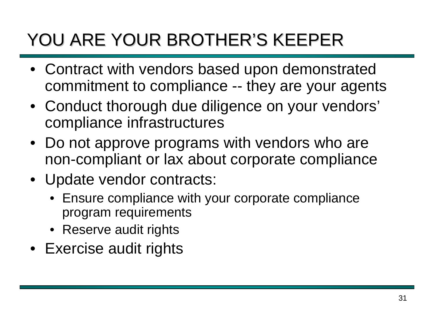## YOU ARE YOUR BROTHER'S KEEPER

- Contract with vendors based upon demonstrated commitment to compliance -- they are your agents
- Conduct thorough due diligence on your vendors' compliance infrastructures
- Do not approve programs with vendors who are non-compliant or lax about corporate compliance
- Update vendor contracts:
	- Ensure compliance with your corporate compliance program requirements
	- Reserve audit rights
- Exercise audit rights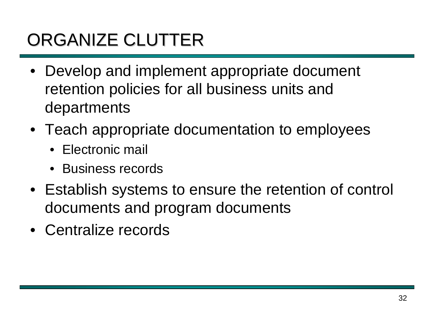## ORGANIZE CLUTTER

- Develop and implement appropriate document retention policies for all business units and departments
- Teach appropriate documentation to employees
	- Electronic mail
	- Business records
- Establish systems to ensure the retention of control documents and program documents
- Centralize records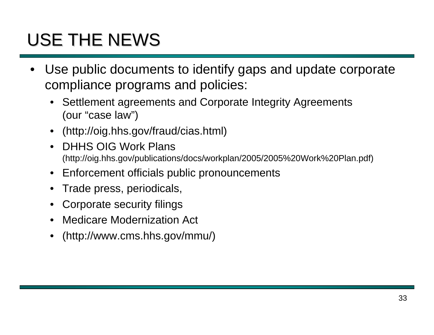## USE THE NEWS

- Use public documents to identify gaps and update corporate compliance programs and policies:
	- Settlement agreements and Corporate Integrity Agreements (our "case law")
	- (http://oig.hhs.gov/fraud/cias.html)
	- DHHS OIG Work Plans (http://oig.hhs.gov/publications/docs/workplan/2005/2005%20Work%20Plan.pdf)
	- Enforcement officials public pronouncements
	- Trade press, periodicals,
	- Corporate security filings
	- Medicare Modernization Act
	- (http://www.cms.hhs.gov/mmu/)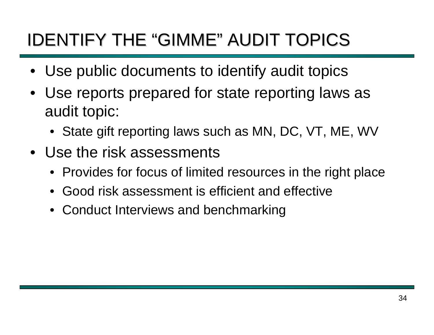### IDENTIFY THE "GIMME" AUDIT TOPICS

- Use public documents to identify audit topics
- Use reports prepared for state reporting laws as audit topic:
	- State gift reporting laws such as MN, DC, VT, ME, WV
- Use the risk assessments
	- Provides for focus of limited resources in the right place
	- Good risk assessment is efficient and effective
	- Conduct Interviews and benchmarking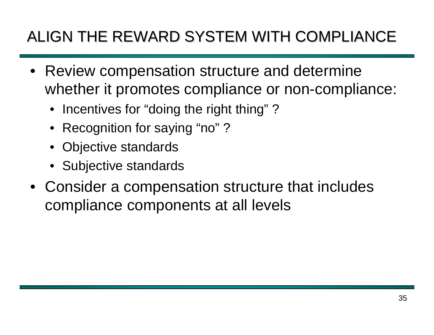### ALIGN THE REWARD SYSTEM WITH COMPLIANCE

- Review compensation structure and determine whether it promotes compliance or non-compliance:
	- Incentives for "doing the right thing"?
	- Recognition for saying "no"?
	- Objective standards
	- Subjective standards
- Consider a compensation structure that includes compliance components at all levels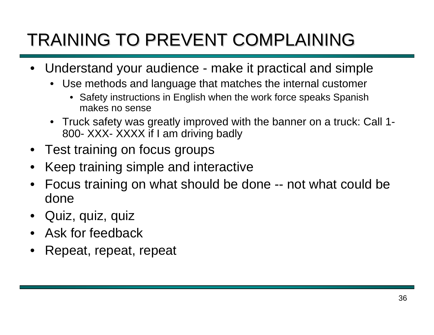## TRAINING TO PREVENT COMPLAINING

- Understand your audience make it practical and simple
	- Use methods and language that matches the internal customer
		- Safety instructions in English when the work force speaks Spanish makes no sense
	- Truck safety was greatly improved with the banner on a truck: Call 1- 800- XXX- XXXX if I am driving badly
- Test training on focus groups
- Keep training simple and interactive
- Focus training on what should be done -- not what could be done
- Quiz, quiz, quiz
- Ask for feedback
- Repeat, repeat, repeat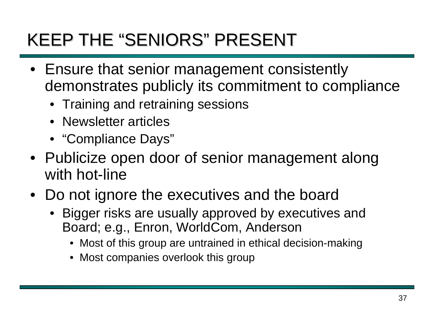### KEEP THE "SENIORS" PRESENT

- Ensure that senior management consistently demonstrates publicly its commitment to compliance
	- Training and retraining sessions
	- Newsletter articles
	- "Compliance Days"
- Publicize open door of senior management along with hot-line
- Do not ignore the executives and the board
	- Bigger risks are usually approved by executives and Board; e.g., Enron, WorldCom, Anderson
		- Most of this group are untrained in ethical decision-making
		- Most companies overlook this group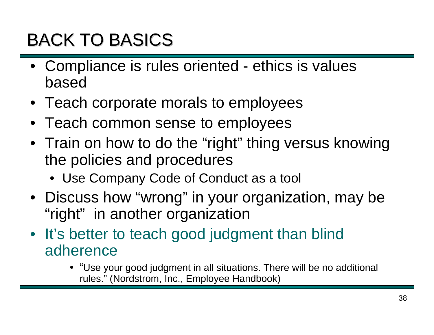### BACK TO BASICS

- Compliance is rules oriented ethics is values based
- Teach corporate morals to employees
- Teach common sense to employees
- Train on how to do the "right" thing versus knowing the policies and procedures
	- Use Company Code of Conduct as a tool
- Discuss how "wrong" in your organization, may be "right" in another organization
- It's better to teach good judgment than blind adherence
	- "Use your good judgment in all situations. There will be no additional rules." (Nordstrom, Inc., Employee Handbook)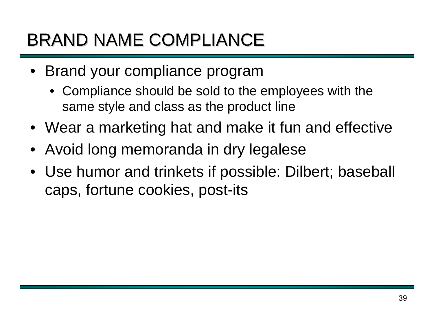### BRAND NAME COMPLIANCE

- Brand your compliance program
	- Compliance should be sold to the employees with the same style and class as the product line
- Wear a marketing hat and make it fun and effective
- Avoid long memoranda in dry legalese
- Use humor and trinkets if possible: Dilbert; baseball caps, fortune cookies, post-its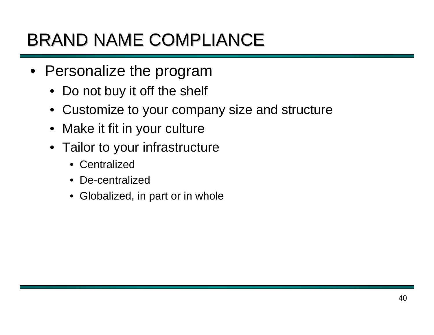### BRAND NAME COMPLIANCE

- Personalize the program
	- Do not buy it off the shelf
	- Customize to your company size and structure
	- Make it fit in your culture
	- Tailor to your infrastructure
		- Centralized
		- De-centralized
		- Globalized, in part or in whole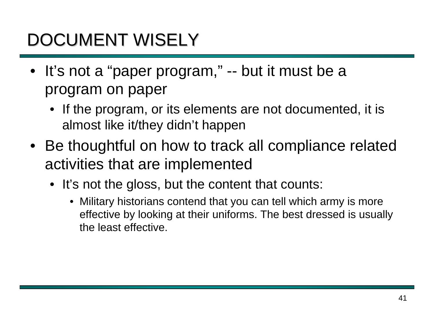## DOCUMENT WISELY

- It's not a "paper program," -- but it must be a program on paper
	- If the program, or its elements are not documented, it is almost like it/they didn't happen
- Be thoughtful on how to track all compliance related activities that are implemented
	- It's not the gloss, but the content that counts:
		- Military historians contend that you can tell which army is more effective by looking at their uniforms. The best dressed is usually the least effective.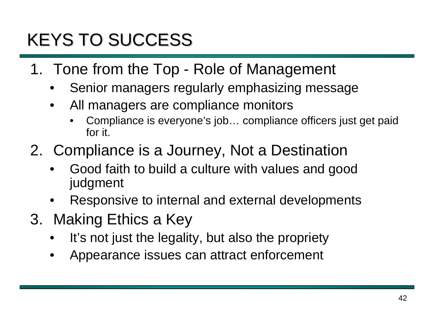## KEYS TO SUCCESS

- 1. Tone from the Top Role of Management
	- Senior managers regularly emphasizing message
	- All managers are compliance monitors
		- Compliance is everyone's job… compliance officers just get paid for it.
- 2. Compliance is a Journey, Not a Destination
	- Good faith to build a culture with values and good judgment
	- Responsive to internal and external developments
- 3. Making Ethics a Key
	- It's not just the legality, but also the propriety
	- Appearance issues can attract enforcement